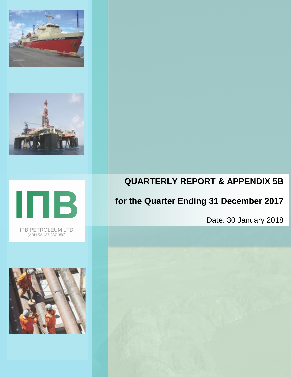





IPB PETROLEUM LTD (ABN 52 137 387 350)



# **QUARTERLY REPORT & APPENDIX 5B**

# **for the Quarter Ending 31 December 2017**

Date: 30 January 2018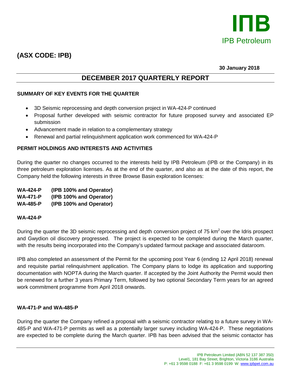

## **(ASX CODE: IPB)**

**30 January 2018**

## **DECEMBER 2017 QUARTERLY REPORT**

#### **SUMMARY OF KEY EVENTS FOR THE QUARTER**

- 3D Seismic reprocessing and depth conversion project in WA-424-P continued
- Proposal further developed with seismic contractor for future proposed survey and associated EP submission
- Advancement made in relation to a complementary strategy
- Renewal and partial relinquishment application work commenced for WA-424-P

#### **PERMIT HOLDINGS AND INTERESTS AND ACTIVITIES**

During the quarter no changes occurred to the interests held by IPB Petroleum (IPB or the Company) in its three petroleum exploration licenses. As at the end of the quarter, and also as at the date of this report, the Company held the following interests in three Browse Basin exploration licenses:

**WA-424-P (IPB 100% and Operator) WA-471-P (IPB 100% and Operator)**

## **WA-485-P (IPB 100% and Operator)**

#### **WA-424-P**

During the quarter the 3D seismic reprocessing and depth conversion project of 75 km<sup>2</sup> over the Idris prospect and Gwydion oil discovery progressed. The project is expected to be completed during the March quarter, with the results being incorporated into the Company's updated farmout package and associated dataroom.

IPB also completed an assessment of the Permit for the upcoming post Year 6 (ending 12 April 2018) renewal and requisite partial relinquishment application. The Company plans to lodge its application and supporting documentation with NOPTA during the March quarter. If accepted by the Joint Authority the Permit would then be renewed for a further 3 years Primary Term, followed by two optional Secondary Term years for an agreed work commitment programme from April 2018 onwards.

#### **WA-471-P and WA-485-P**

During the quarter the Company refined a proposal with a seismic contractor relating to a future survey in WA-485-P and WA-471-P permits as well as a potentially larger survey including WA-424-P. These negotiations are expected to be complete during the March quarter. IPB has been advised that the seismic contactor has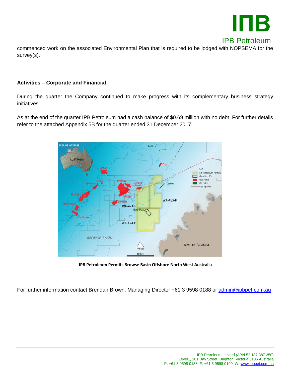

commenced work on the associated Environmental Plan that is required to be lodged with NOPSEMA for the survey(s).

#### **Activities – Corporate and Financial**

During the quarter the Company continued to make progress with its complementary business strategy initiatives.

As at the end of the quarter IPB Petroleum had a cash balance of \$0.69 million with no debt. For further details refer to the attached Appendix 5B for the quarter ended 31 December 2017.



**IPB Petroleum Permits Browse Basin Offshore North West Australia**

For further information contact Brendan Brown, Managing Director +61 3 9598 0188 or [admin@ipbpet.com.au](mailto:admin@ipbpet.com.au)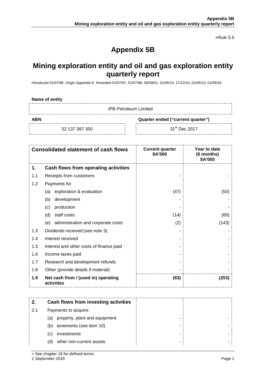*+Rule 5.5*

## **Appendix 5B**

## **Mining exploration entity and oil and gas exploration entity quarterly report**

Introduced 01/07/96 Origin Appendix 8 Amended 01/07/97, 01/07/98, 30/09/01, 01/06/10, 17/12/10, 01/05/13, 01/09/16

| Name of entity |  |  |
|----------------|--|--|
|----------------|--|--|

IPB Petroleum Limited

**ABN Quarter ended ("current quarter")**

52 137 387 350 31<sup>st</sup> Dec 2017

|     | <b>Consolidated statement of cash flows</b>       | <b>Current quarter</b><br>\$A'000 | Year to date<br>(6 months)<br>\$A'000 |
|-----|---------------------------------------------------|-----------------------------------|---------------------------------------|
| 1.  | Cash flows from operating activities              |                                   |                                       |
| 1.1 | Receipts from customers                           |                                   |                                       |
| 1.2 | Payments for                                      |                                   |                                       |
|     | exploration & evaluation<br>(a)                   | (47)                              | (50)                                  |
|     | development<br>(b)                                |                                   |                                       |
|     | production<br>(c)                                 |                                   |                                       |
|     | staff costs<br>(d)                                | (14)                              | (60)                                  |
|     | (e) administration and corporate costs            | (2)                               | (143)                                 |
| 1.3 | Dividends received (see note 3)                   |                                   |                                       |
| 1.4 | Interest received                                 |                                   |                                       |
| 1.5 | Interest and other costs of finance paid          |                                   |                                       |
| 1.6 | Income taxes paid                                 |                                   |                                       |
| 1.7 | Research and development refunds                  |                                   |                                       |
| 1.8 | Other (provide details if material)               |                                   |                                       |
| 1.9 | Net cash from / (used in) operating<br>activities | (63)                              | (253)                                 |

|     | Cash flows from investing activities |  |
|-----|--------------------------------------|--|
| 2.1 | Payments to acquire:                 |  |
|     | property, plant and equipment<br>(a) |  |
|     | tenements (see item 10)<br>(b)       |  |
|     | investments<br>(C)                   |  |
|     | other non-current assets<br>(d)      |  |

+ See chapter 19 for defined terms

*1 September 2016* Page 1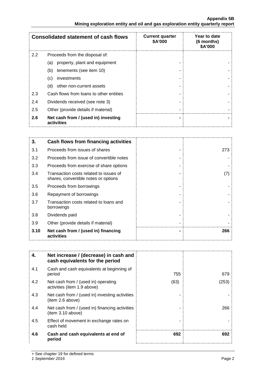#### **Appendix 5B Mining exploration entity and oil and gas exploration entity quarterly report**

|               | <b>Consolidated statement of cash flows</b>       | <b>Current quarter</b><br>\$A'000 | Year to date<br>(6 months)<br>\$A'000 |
|---------------|---------------------------------------------------|-----------------------------------|---------------------------------------|
| $2.2^{\circ}$ | Proceeds from the disposal of:                    |                                   |                                       |
|               | property, plant and equipment<br>(a)              |                                   |                                       |
|               | tenements (see item 10)<br>(b)                    |                                   |                                       |
|               | investments<br>(c)                                |                                   |                                       |
|               | other non-current assets<br>(d)                   |                                   |                                       |
| 2.3           | Cash flows from loans to other entities           |                                   |                                       |
| 2.4           | Dividends received (see note 3)                   |                                   |                                       |
| 2.5           | Other (provide details if material)               |                                   |                                       |
| 2.6           | Net cash from / (used in) investing<br>activities |                                   |                                       |

| 3.   | Cash flows from financing activities                                           |     |
|------|--------------------------------------------------------------------------------|-----|
| 3.1  | Proceeds from issues of shares                                                 | 273 |
| 3.2  | Proceeds from issue of convertible notes                                       |     |
| 3.3  | Proceeds from exercise of share options                                        |     |
| 3.4  | Transaction costs related to issues of<br>shares, convertible notes or options | (7) |
| 3.5  | Proceeds from borrowings                                                       |     |
| 3.6  | Repayment of borrowings                                                        |     |
| 3.7  | Transaction costs related to loans and<br>borrowings                           |     |
| 3.8  | Dividends paid                                                                 |     |
| 3.9  | Other (provide details if material)                                            |     |
| 3.10 | Net cash from / (used in) financing<br>activities                              | 266 |
|      |                                                                                |     |

| 4.  | Net increase / (decrease) in cash and<br>cash equivalents for the period |      |      |
|-----|--------------------------------------------------------------------------|------|------|
| 4.1 | Cash and cash equivalents at beginning of<br>period                      | 755  | 679  |
| 4.2 | Net cash from / (used in) operating<br>activities (item 1.9 above)       | (63) | 253) |
| 4.3 | Net cash from / (used in) investing activities<br>(item 2.6 above)       |      |      |
| 4.4 | Net cash from / (used in) financing activities<br>(item 3.10 above)      |      | 266  |
| 4.5 | Effect of movement in exchange rates on<br>cash held                     |      |      |
| 4.6 | Cash and cash equivalents at end of<br>period                            | 692  | 692  |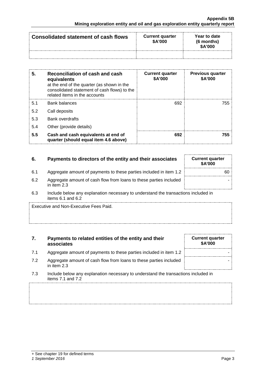| Consolidated statement of cash flows | <b>Current quarter</b><br>\$A'000 | Year to date<br>$(6$ months)<br><b>\$A'000</b> |
|--------------------------------------|-----------------------------------|------------------------------------------------|
|                                      |                                   |                                                |

| 5.  | Reconciliation of cash and cash<br>equivalents<br>at the end of the quarter (as shown in the<br>consolidated statement of cash flows) to the<br>related items in the accounts | <b>Current quarter</b><br>\$A'000 | <b>Previous quarter</b><br>\$A'000 |
|-----|-------------------------------------------------------------------------------------------------------------------------------------------------------------------------------|-----------------------------------|------------------------------------|
| 5.1 | Bank balances                                                                                                                                                                 | 692                               | 755                                |
| 5.2 | Call deposits                                                                                                                                                                 |                                   |                                    |
| 5.3 | <b>Bank overdrafts</b>                                                                                                                                                        |                                   |                                    |
| 5.4 | Other (provide details)                                                                                                                                                       |                                   |                                    |
| 5.5 | Cash and cash equivalents at end of<br>quarter (should equal item 4.6 above)                                                                                                  | 692                               | 755                                |

| -6. | Payments to directors of the entity and their associates                          | <b>Current quarter</b><br><b>\$A'000</b> |
|-----|-----------------------------------------------------------------------------------|------------------------------------------|
| 6.1 | Aggregate amount of payments to these parties included in item 1.2                | 60                                       |
| 6.2 | Aggregate amount of cash flow from loans to these parties included<br>in item 2.3 |                                          |

6.3 Include below any explanation necessary to understand the transactions included in items 6.1 and 6.2

Executive and Non-Executive Fees Paid.

#### **7. Payments to related entities of the entity and their associates**

- 7.1 Aggregate amount of payments to these parties included in item 1.2
- 7.2 Aggregate amount of cash flow from loans to these parties included in item 2.3
- 7.3 Include below any explanation necessary to understand the transactions included in items 7.1 and 7.2

| <b>Current quarter</b><br>\$A'000 |  |
|-----------------------------------|--|
|                                   |  |
|                                   |  |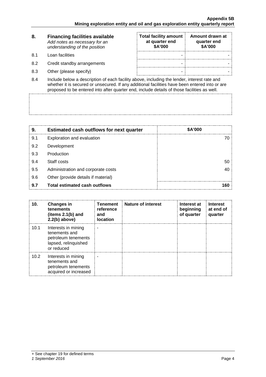| 8.   | <b>Financing facilities available</b><br>Add notes as necessary for an<br>understanding of the position | <b>Total facility amount</b><br>at quarter end<br>\$A'000 | Amount drawn at<br>quarter end<br>\$A'000 |
|------|---------------------------------------------------------------------------------------------------------|-----------------------------------------------------------|-------------------------------------------|
| .8.1 | Loan facilities                                                                                         |                                                           |                                           |
| 8.2  | Credit standby arrangements                                                                             |                                                           |                                           |
| 8.3  | Other (please specify)                                                                                  |                                                           |                                           |

8.4 Include below a description of each facility above, including the lender, interest rate and whether it is secured or unsecured. If any additional facilities have been entered into or are proposed to be entered into after quarter end, include details of those facilities as well.

| 9   | <b>Estimated cash outflows for next quarter</b> | <b>\$A'000</b> |
|-----|-------------------------------------------------|----------------|
| 9.1 | Exploration and evaluation                      |                |
| 9.2 | Development                                     |                |
| 9.3 | Production                                      |                |
| 9.4 | Staff costs                                     | 50             |
| 9.5 | Administration and corporate costs              |                |
| 9.6 | Other (provide details if material)             |                |
| 9.7 | Total estimated cash outflows                   |                |

| 10.  | <b>Changes in</b><br>tenements<br>(items $2.1(b)$ and<br>$2.2(b)$ above)                          | Tenement<br>reference<br>and<br><b>location</b> | Nature of interest | Interest at<br>beginning<br>of quarter | <b>Interest</b><br>at end of<br>quarter |
|------|---------------------------------------------------------------------------------------------------|-------------------------------------------------|--------------------|----------------------------------------|-----------------------------------------|
| 10.1 | Interests in mining<br>tenements and<br>petroleum tenements<br>lapsed, relinquished<br>or reduced |                                                 |                    |                                        |                                         |
| 10.2 | Interests in mining<br>tenements and<br>petroleum tenements<br>acquired or increased              |                                                 |                    |                                        |                                         |